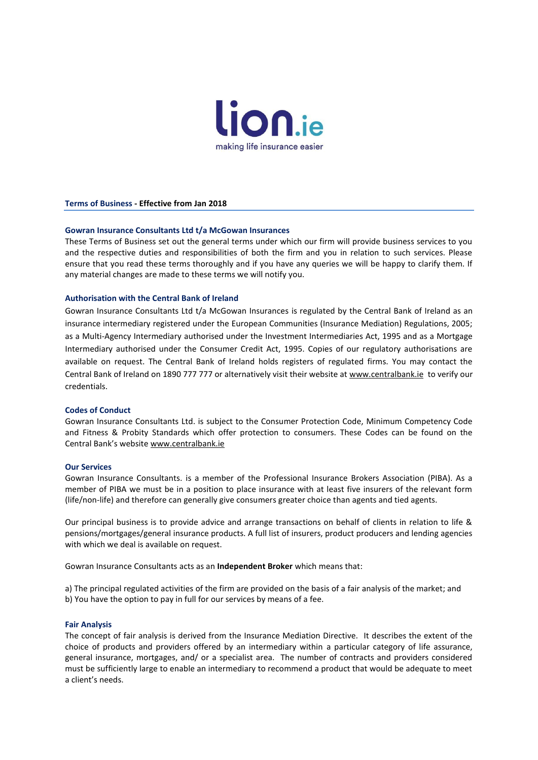

**Terms of Business - Effective from Jan 2018**

## **Gowran Insurance Consultants Ltd t/a McGowan Insurances**

These Terms of Business set out the general terms under which our firm will provide business services to you and the respective duties and responsibilities of both the firm and you in relation to such services. Please ensure that you read these terms thoroughly and if you have any queries we will be happy to clarify them. If any material changes are made to these terms we will notify you.

## **Authorisation with the Central Bank of Ireland**

Gowran Insurance Consultants Ltd t/a McGowan Insurances is regulated by the Central Bank of Ireland as an insurance intermediary registered under the European Communities (Insurance Mediation) Regulations, 2005; as a Multi-Agency Intermediary authorised under the Investment Intermediaries Act, 1995 and as a Mortgage Intermediary authorised under the Consumer Credit Act, 1995. Copies of our regulatory authorisations are available on request. The Central Bank of Ireland holds registers of regulated firms. You may contact the Central Bank of Ireland on 1890 777 777 or alternatively visit their website at [www.centralbank.ie](http://www.centralbank.ie/) to verify our credentials.

# **Codes of Conduct**

Gowran Insurance Consultants Ltd. is subject to the Consumer Protection Code, Minimum Competency Code and Fitness & Probity Standards which offer protection to consumers. These Codes can be found on the Central Bank's website [www.centralbank.ie](http://www.centralbank.ie/)

## **Our Services**

Gowran Insurance Consultants. is a member of the Professional Insurance Brokers Association (PIBA). As a member of PIBA we must be in a position to place insurance with at least five insurers of the relevant form (life/non-life) and therefore can generally give consumers greater choice than agents and tied agents.

Our principal business is to provide advice and arrange transactions on behalf of clients in relation to life & pensions/mortgages/general insurance products. A full list of insurers, product producers and lending agencies with which we deal is available on request.

Gowran Insurance Consultants acts as an **Independent Broker** which means that:

a) The principal regulated activities of the firm are provided on the basis of a fair analysis of the market; and b) You have the option to pay in full for our services by means of a fee.

## **Fair Analysis**

The concept of fair analysis is derived from the Insurance Mediation Directive. It describes the extent of the choice of products and providers offered by an intermediary within a particular category of life assurance, general insurance, mortgages, and/ or a specialist area. The number of contracts and providers considered must be sufficiently large to enable an intermediary to recommend a product that would be adequate to meet a client's needs.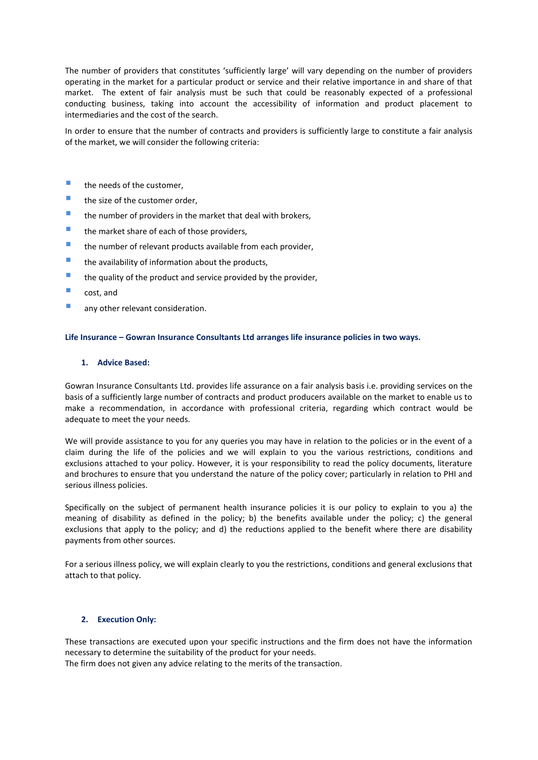The number of providers that constitutes 'sufficiently large' will vary depending on the number of providers operating in the market for a particular product or service and their relative importance in and share of that market. The extent of fair analysis must be such that could be reasonably expected of a professional conducting business, taking into account the accessibility of information and product placement to intermediaries and the cost of the search.

In order to ensure that the number of contracts and providers is sufficiently large to constitute a fair analysis of the market, we will consider the following criteria:

# $\blacksquare$  the needs of the customer.

- **the size of the customer order,**
- $\blacksquare$  the number of providers in the market that deal with brokers,
- $\blacksquare$  the market share of each of those providers,
- **the number of relevant products available from each provider,**
- $\blacksquare$  the availability of information about the products,
- $\blacksquare$  the quality of the product and service provided by the provider,
- **cost**, and
- **any other relevant consideration.**

## **Life Insurance – Gowran Insurance Consultants Ltd arranges life insurance policies in two ways.**

## **1. Advice Based:**

Gowran Insurance Consultants Ltd. provides life assurance on a fair analysis basis i.e. providing services on the basis of a sufficiently large number of contracts and product producers available on the market to enable us to make a recommendation, in accordance with professional criteria, regarding which contract would be adequate to meet the your needs.

We will provide assistance to you for any queries you may have in relation to the policies or in the event of a claim during the life of the policies and we will explain to you the various restrictions, conditions and exclusions attached to your policy. However, it is your responsibility to read the policy documents, literature and brochures to ensure that you understand the nature of the policy cover; particularly in relation to PHI and serious illness policies.

Specifically on the subject of permanent health insurance policies it is our policy to explain to you a) the meaning of disability as defined in the policy; b) the benefits available under the policy; c) the general exclusions that apply to the policy; and d) the reductions applied to the benefit where there are disability payments from other sources.

For a serious illness policy, we will explain clearly to you the restrictions, conditions and general exclusions that attach to that policy.

## **2. Execution Only:**

These transactions are executed upon your specific instructions and the firm does not have the information necessary to determine the suitability of the product for your needs. The firm does not given any advice relating to the merits of the transaction.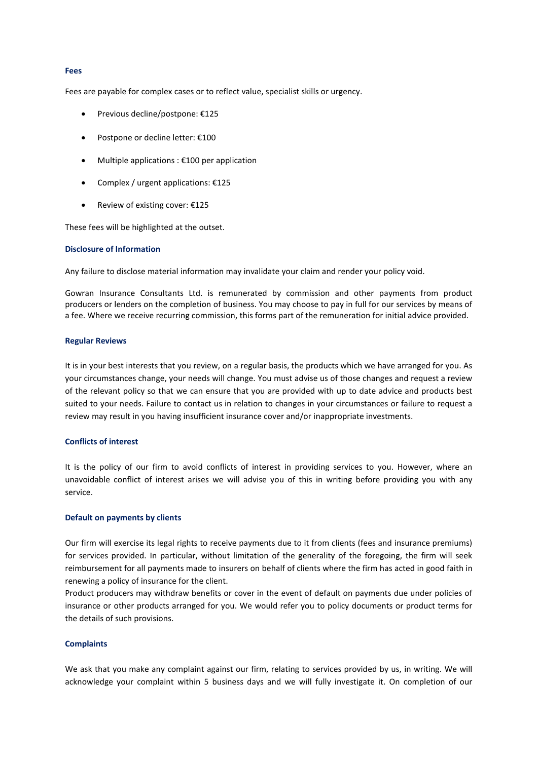#### **Fees**

Fees are payable for complex cases or to reflect value, specialist skills or urgency.

- Previous decline/postpone: €125
- Postpone or decline letter: €100
- Multiple applications : €100 per application
- Complex / urgent applications: €125
- Review of existing cover: €125

These fees will be highlighted at the outset.

## **Disclosure of Information**

Any failure to disclose material information may invalidate your claim and render your policy void.

Gowran Insurance Consultants Ltd. is remunerated by commission and other payments from product producers or lenders on the completion of business. You may choose to pay in full for our services by means of a fee. Where we receive recurring commission, this forms part of the remuneration for initial advice provided.

#### **Regular Reviews**

It is in your best interests that you review, on a regular basis, the products which we have arranged for you. As your circumstances change, your needs will change. You must advise us of those changes and request a review of the relevant policy so that we can ensure that you are provided with up to date advice and products best suited to your needs. Failure to contact us in relation to changes in your circumstances or failure to request a review may result in you having insufficient insurance cover and/or inappropriate investments.

# **Conflicts of interest**

It is the policy of our firm to avoid conflicts of interest in providing services to you. However, where an unavoidable conflict of interest arises we will advise you of this in writing before providing you with any service.

# **Default on payments by clients**

Our firm will exercise its legal rights to receive payments due to it from clients (fees and insurance premiums) for services provided. In particular, without limitation of the generality of the foregoing, the firm will seek reimbursement for all payments made to insurers on behalf of clients where the firm has acted in good faith in renewing a policy of insurance for the client.

Product producers may withdraw benefits or cover in the event of default on payments due under policies of insurance or other products arranged for you. We would refer you to policy documents or product terms for the details of such provisions.

# **Complaints**

We ask that you make any complaint against our firm, relating to services provided by us, in writing. We will acknowledge your complaint within 5 business days and we will fully investigate it. On completion of our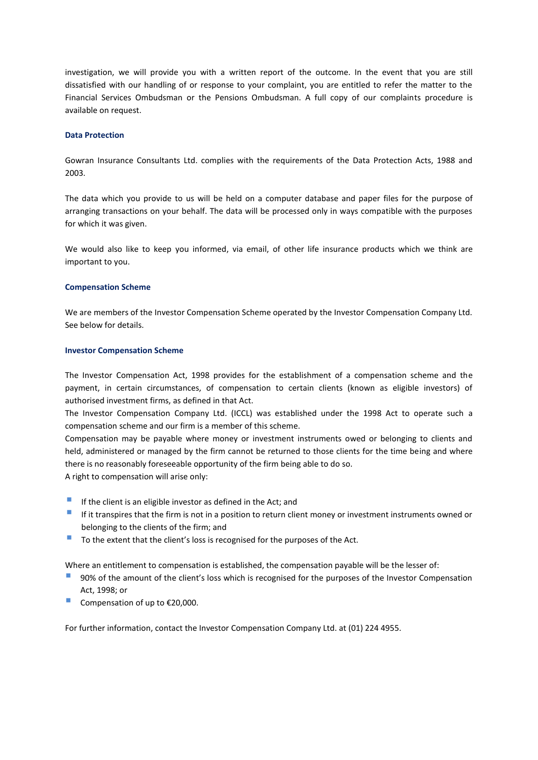investigation, we will provide you with a written report of the outcome. In the event that you are still dissatisfied with our handling of or response to your complaint, you are entitled to refer the matter to the Financial Services Ombudsman or the Pensions Ombudsman. A full copy of our complaints procedure is available on request.

# **Data Protection**

Gowran Insurance Consultants Ltd. complies with the requirements of the Data Protection Acts, 1988 and 2003.

The data which you provide to us will be held on a computer database and paper files for the purpose of arranging transactions on your behalf. The data will be processed only in ways compatible with the purposes for which it was given.

We would also like to keep you informed, via email, of other life insurance products which we think are important to you.

# **Compensation Scheme**

We are members of the Investor Compensation Scheme operated by the Investor Compensation Company Ltd. See below for details.

## **Investor Compensation Scheme**

The Investor Compensation Act, 1998 provides for the establishment of a compensation scheme and the payment, in certain circumstances, of compensation to certain clients (known as eligible investors) of authorised investment firms, as defined in that Act.

The Investor Compensation Company Ltd. (ICCL) was established under the 1998 Act to operate such a compensation scheme and our firm is a member of this scheme.

Compensation may be payable where money or investment instruments owed or belonging to clients and held, administered or managed by the firm cannot be returned to those clients for the time being and where there is no reasonably foreseeable opportunity of the firm being able to do so.

A right to compensation will arise only:

- If the client is an eligible investor as defined in the Act; and
- If it transpires that the firm is not in a position to return client money or investment instruments owned or belonging to the clients of the firm; and
- To the extent that the client's loss is recognised for the purposes of the Act.

Where an entitlement to compensation is established, the compensation payable will be the lesser of:

- 90% of the amount of the client's loss which is recognised for the purposes of the Investor Compensation Act, 1998; or
- Compensation of up to  $£20,000$ .

For further information, contact the Investor Compensation Company Ltd. at (01) 224 4955.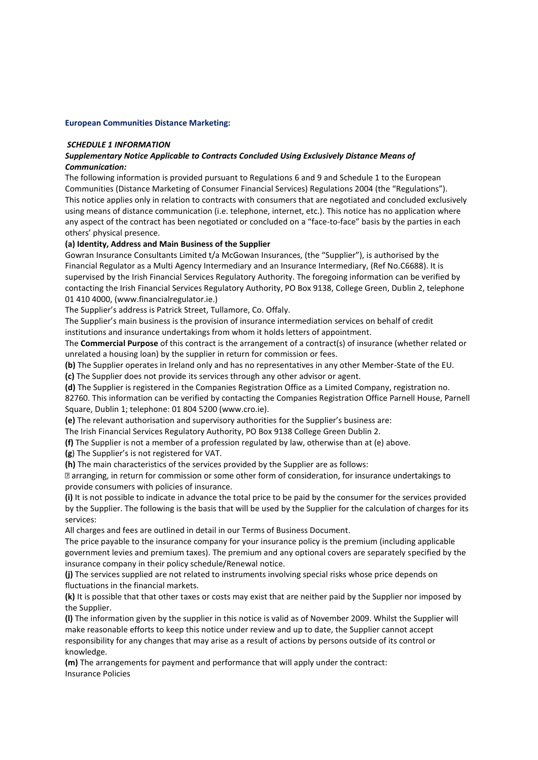# **European Communities Distance Marketing:**

# *SCHEDULE 1 INFORMATION*

# *Supplementary Notice Applicable to Contracts Concluded Using Exclusively Distance Means of Communication:*

The following information is provided pursuant to Regulations 6 and 9 and Schedule 1 to the European Communities (Distance Marketing of Consumer Financial Services) Regulations 2004 (the "Regulations"). This notice applies only in relation to contracts with consumers that are negotiated and concluded exclusively using means of distance communication (i.e. telephone, internet, etc.). This notice has no application where any aspect of the contract has been negotiated or concluded on a "face-to-face" basis by the parties in each others' physical presence.

# **(a) Identity, Address and Main Business of the Supplier**

Gowran Insurance Consultants Limited t/a McGowan Insurances, (the "Supplier"), is authorised by the Financial Regulator as a Multi Agency Intermediary and an Insurance Intermediary, (Ref No.C6688). It is supervised by the Irish Financial Services Regulatory Authority. The foregoing information can be verified by contacting the Irish Financial Services Regulatory Authority, PO Box 9138, College Green, Dublin 2, telephone 01 410 4000, (www.financialregulator.ie.)

The Supplier's address is Patrick Street, Tullamore, Co. Offaly.

The Supplier's main business is the provision of insurance intermediation services on behalf of credit institutions and insurance undertakings from whom it holds letters of appointment.

The **Commercial Purpose** of this contract is the arrangement of a contract(s) of insurance (whether related or unrelated a housing loan) by the supplier in return for commission or fees.

**(b)** The Supplier operates in Ireland only and has no representatives in any other Member-State of the EU. **(c)** The Supplier does not provide its services through any other advisor or agent.

**(d)** The Supplier is registered in the Companies Registration Office as a Limited Company, registration no.

82760. This information can be verified by contacting the Companies Registration Office Parnell House, Parnell Square, Dublin 1; telephone: 01 804 5200 (www.cro.ie).

**(e)** The relevant authorisation and supervisory authorities for the Supplier's business are:

The Irish Financial Services Regulatory Authority, PO Box 9138 College Green Dublin 2.

**(f)** The Supplier is not a member of a profession regulated by law, otherwise than at (e) above.

**(g**) The Supplier's is not registered for VAT.

**(h)** The main characteristics of the services provided by the Supplier are as follows:

I arranging, in return for commission or some other form of consideration, for insurance undertakings to provide consumers with policies of insurance.

**(i)** It is not possible to indicate in advance the total price to be paid by the consumer for the services provided by the Supplier. The following is the basis that will be used by the Supplier for the calculation of charges for its services:

All charges and fees are outlined in detail in our Terms of Business Document.

The price payable to the insurance company for your insurance policy is the premium (including applicable government levies and premium taxes). The premium and any optional covers are separately specified by the insurance company in their policy schedule/Renewal notice.

**(j)** The services supplied are not related to instruments involving special risks whose price depends on fluctuations in the financial markets.

**(k)** It is possible that that other taxes or costs may exist that are neither paid by the Supplier nor imposed by the Supplier.

**(l)** The information given by the supplier in this notice is valid as of November 2009. Whilst the Supplier will make reasonable efforts to keep this notice under review and up to date, the Supplier cannot accept responsibility for any changes that may arise as a result of actions by persons outside of its control or knowledge.

**(m)** The arrangements for payment and performance that will apply under the contract: Insurance Policies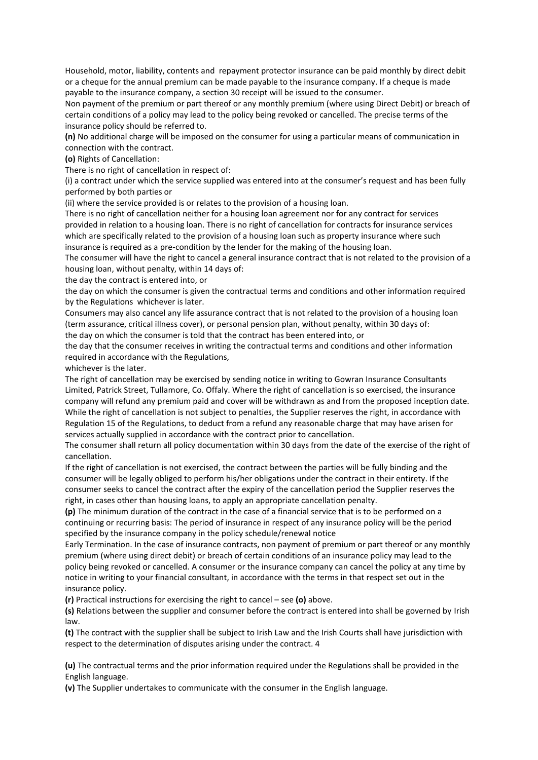Household, motor, liability, contents and repayment protector insurance can be paid monthly by direct debit or a cheque for the annual premium can be made payable to the insurance company. If a cheque is made payable to the insurance company, a section 30 receipt will be issued to the consumer.

Non payment of the premium or part thereof or any monthly premium (where using Direct Debit) or breach of certain conditions of a policy may lead to the policy being revoked or cancelled. The precise terms of the insurance policy should be referred to.

**(n)** No additional charge will be imposed on the consumer for using a particular means of communication in connection with the contract.

**(o)** Rights of Cancellation:

There is no right of cancellation in respect of:

(i) a contract under which the service supplied was entered into at the consumer's request and has been fully performed by both parties or

(ii) where the service provided is or relates to the provision of a housing loan.

There is no right of cancellation neither for a housing loan agreement nor for any contract for services provided in relation to a housing loan. There is no right of cancellation for contracts for insurance services which are specifically related to the provision of a housing loan such as property insurance where such insurance is required as a pre-condition by the lender for the making of the housing loan.

The consumer will have the right to cancel a general insurance contract that is not related to the provision of a housing loan, without penalty, within 14 days of:

the day the contract is entered into, or

the day on which the consumer is given the contractual terms and conditions and other information required by the Regulations whichever is later.

Consumers may also cancel any life assurance contract that is not related to the provision of a housing loan (term assurance, critical illness cover), or personal pension plan, without penalty, within 30 days of: the day on which the consumer is told that the contract has been entered into, or

the day that the consumer receives in writing the contractual terms and conditions and other information required in accordance with the Regulations,

whichever is the later.

The right of cancellation may be exercised by sending notice in writing to Gowran Insurance Consultants Limited, Patrick Street, Tullamore, Co. Offaly. Where the right of cancellation is so exercised, the insurance company will refund any premium paid and cover will be withdrawn as and from the proposed inception date. While the right of cancellation is not subject to penalties, the Supplier reserves the right, in accordance with Regulation 15 of the Regulations, to deduct from a refund any reasonable charge that may have arisen for services actually supplied in accordance with the contract prior to cancellation.

The consumer shall return all policy documentation within 30 days from the date of the exercise of the right of cancellation.

If the right of cancellation is not exercised, the contract between the parties will be fully binding and the consumer will be legally obliged to perform his/her obligations under the contract in their entirety. If the consumer seeks to cancel the contract after the expiry of the cancellation period the Supplier reserves the right, in cases other than housing loans, to apply an appropriate cancellation penalty.

**(p)** The minimum duration of the contract in the case of a financial service that is to be performed on a continuing or recurring basis: The period of insurance in respect of any insurance policy will be the period specified by the insurance company in the policy schedule/renewal notice

Early Termination. In the case of insurance contracts, non payment of premium or part thereof or any monthly premium (where using direct debit) or breach of certain conditions of an insurance policy may lead to the policy being revoked or cancelled. A consumer or the insurance company can cancel the policy at any time by notice in writing to your financial consultant, in accordance with the terms in that respect set out in the insurance policy.

**(r)** Practical instructions for exercising the right to cancel – see **(o)** above.

**(s)** Relations between the supplier and consumer before the contract is entered into shall be governed by Irish law.

**(t)** The contract with the supplier shall be subject to Irish Law and the Irish Courts shall have jurisdiction with respect to the determination of disputes arising under the contract. 4

**(u)** The contractual terms and the prior information required under the Regulations shall be provided in the English language.

**(v)** The Supplier undertakes to communicate with the consumer in the English language.